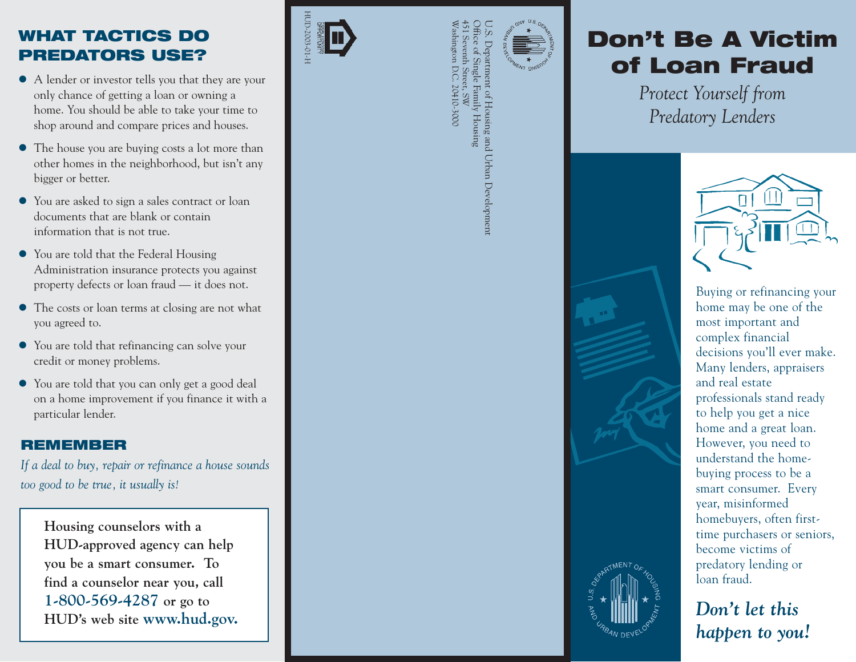### **WHAT TACTICS DO PREDATORS USE?**

- A lender or investor tells you that they are your only chance of getting a loan or owning a home. You should be able to take your time to shop around and compare prices and houses.
- The house you are buying costs a lot more than other homes in the neighborhood, but isn't any bigger or better.
- You are asked to sign a sales contract or loan documents that are blank or contain information that is not true.
- You are told that the Federal Housing Administration insurance protects you against property defects or loan fraud — it does not.
- The costs or loan terms at closing are not what you agreed to.
- You are told that refinancing can solve your credit or money problems.
- You are told that you can only get a good deal on a home improvement if you finance it with a particular lender.

### **REMEMBER**

*If a deal to buy, repair or refinance a house sounds too good to be true, it usually is!* 

**Housing counselors with a HUD-approved agency can help you be a smart consumer. To find a counselor near you, call 1-800-569-4287 or go to HUD's web site www.hud.gov.** 





## Washington D.C. 20410-3000 451 Seventh Street, SW Office of Single Family Housing U.S. Department of Housing and Urban Development of Housing and Urban Development / Housing

# **Hunder School Section Section Section Section Section Section Section Section Section Section Section Section Section Section Section Section Section Section Section Section Section Section Section Section Section Section**

*Protect Yourself from Predatory Lenders* 



smart consumer. Every year, misinformed homebuyers, often firsttime purchasers or seniors, become victims of predatory lending or loan fraud.

*Don't let this happen to you!*